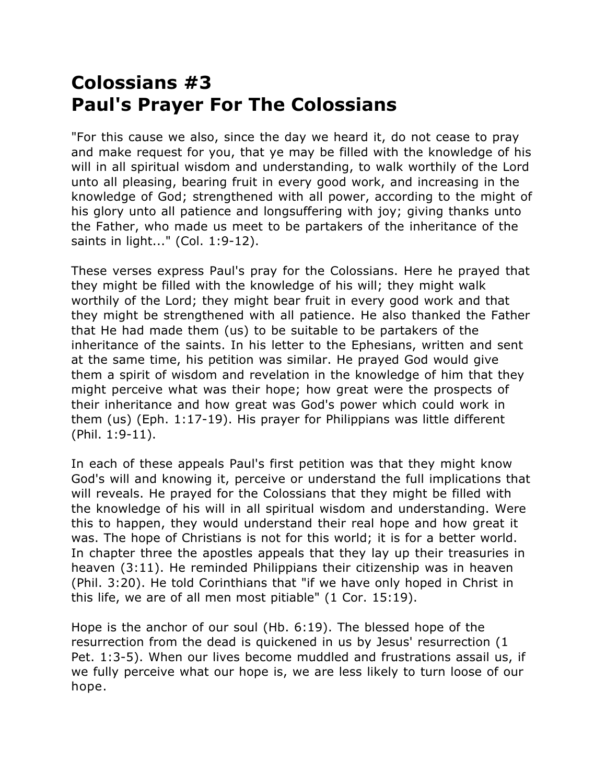## **Colossians #3 Paul's Prayer For The Colossians**

"For this cause we also, since the day we heard it, do not cease to pray and make request for you, that ye may be filled with the knowledge of his will in all spiritual wisdom and understanding, to walk worthily of the Lord unto all pleasing, bearing fruit in every good work, and increasing in the knowledge of God; strengthened with all power, according to the might of his glory unto all patience and longsuffering with joy; giving thanks unto the Father, who made us meet to be partakers of the inheritance of the saints in light..." (Col. 1:9-12).

These verses express Paul's pray for the Colossians. Here he prayed that they might be filled with the knowledge of his will; they might walk worthily of the Lord; they might bear fruit in every good work and that they might be strengthened with all patience. He also thanked the Father that He had made them (us) to be suitable to be partakers of the inheritance of the saints. In his letter to the Ephesians, written and sent at the same time, his petition was similar. He prayed God would give them a spirit of wisdom and revelation in the knowledge of him that they might perceive what was their hope; how great were the prospects of their inheritance and how great was God's power which could work in them (us) (Eph. 1:17-19). His prayer for Philippians was little different (Phil. 1:9-11).

In each of these appeals Paul's first petition was that they might know God's will and knowing it, perceive or understand the full implications that will reveals. He prayed for the Colossians that they might be filled with the knowledge of his will in all spiritual wisdom and understanding. Were this to happen, they would understand their real hope and how great it was. The hope of Christians is not for this world; it is for a better world. In chapter three the apostles appeals that they lay up their treasuries in heaven (3:11). He reminded Philippians their citizenship was in heaven (Phil. 3:20). He told Corinthians that "if we have only hoped in Christ in this life, we are of all men most pitiable" (1 Cor. 15:19).

Hope is the anchor of our soul (Hb. 6:19). The blessed hope of the resurrection from the dead is quickened in us by Jesus' resurrection (1 Pet. 1:3-5). When our lives become muddled and frustrations assail us, if we fully perceive what our hope is, we are less likely to turn loose of our hope.